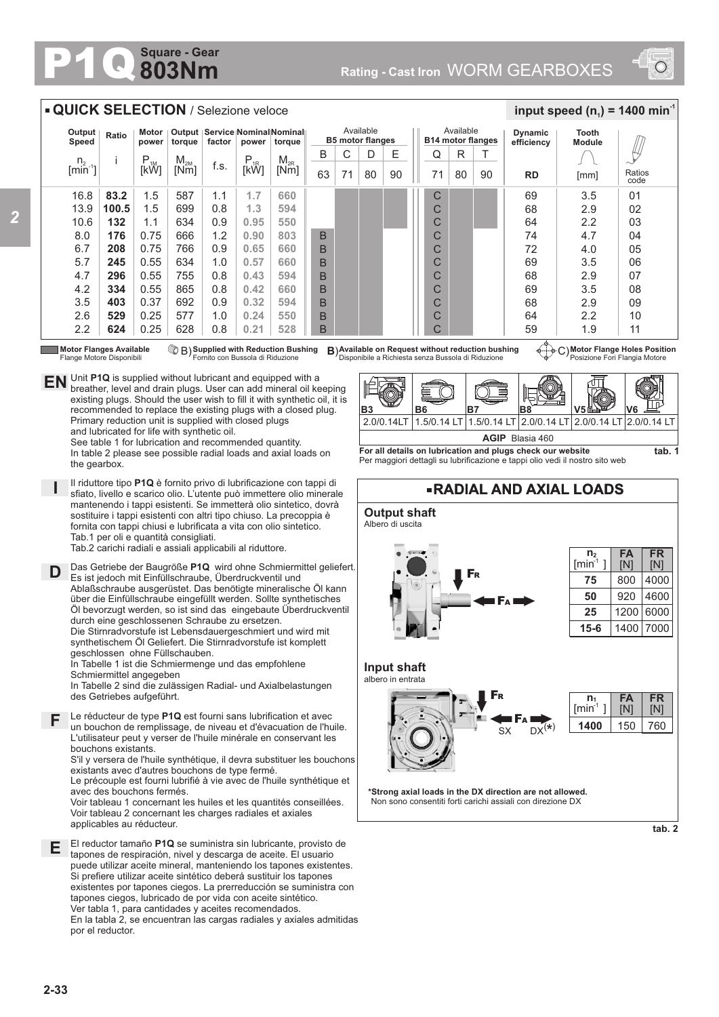## **803Nm Square - Gear**



## **QUICK SELECTION** / Selezione veloce

| Output<br>Speed                                                                                                                                                                                                                                                                                                                                                                                                                                                                                                                                                                                                                                                                               | Ratio | Motor  <br>power | torque   | factor | power                   | Output   Service   Nominal Nominal   <br>torque |    |    | Available<br><b>B5 motor flanges</b> |    | <b>B14 motor flanges</b> | Available |    | <b>Dynamic</b><br>efficiency | <b>Tooth</b><br><b>Module</b> |                |
|-----------------------------------------------------------------------------------------------------------------------------------------------------------------------------------------------------------------------------------------------------------------------------------------------------------------------------------------------------------------------------------------------------------------------------------------------------------------------------------------------------------------------------------------------------------------------------------------------------------------------------------------------------------------------------------------------|-------|------------------|----------|--------|-------------------------|-------------------------------------------------|----|----|--------------------------------------|----|--------------------------|-----------|----|------------------------------|-------------------------------|----------------|
| n <sub>2</sub>                                                                                                                                                                                                                                                                                                                                                                                                                                                                                                                                                                                                                                                                                |       |                  | $M_{2M}$ |        |                         | $M_{2R}$                                        | B  | C  | D                                    | Ε  | Q                        | R         |    |                              |                               | Щ              |
| $\left[\right.\right.\right.\left.\left.\right.\left.\right\vert\left.\left.\right.\left.\left.\right\vert\right.\left.\left.\left.\right\vert\right.\left.\left.\right.\left.\left.\right\vert\right.\left.\left.\right.\left.\left.\right\vert\right.\left.\left.\right.\left.\left.\right\vert\right.\left.\left.\right.\right\vert\right.\left.\left.\right\vert\right.\left.\left.\right\vert\right.\left.\left.\right\vert\right.\left.\left.\right\vert\right.\left.\left.\right\vert\right.\left.\left.\left.\right\vert\right.\left.\left.\right\vert\right.\left.\left.\right\vert\right.\left.\left.\right\vert\right.\left.\left.\right\vert\right.\left.\left.\right\vert\right$ |       | $P_{1M}$<br>[kW] | [Nm]     | f.s.   | P <sub>1R</sub><br>[kW] | [Nm]                                            | 63 | 71 | 80                                   | 90 | 71                       | 80        | 90 | <b>RD</b>                    | [mm]                          | Ratios<br>code |
| 16.8                                                                                                                                                                                                                                                                                                                                                                                                                                                                                                                                                                                                                                                                                          | 83.2  | 1.5              | 587      | 1.1    | 1.7                     | 660                                             |    |    |                                      |    | C                        |           |    | 69                           | 3.5                           | 01             |
| 13.9                                                                                                                                                                                                                                                                                                                                                                                                                                                                                                                                                                                                                                                                                          | 100.5 | 1.5              | 699      | 0.8    | 1.3                     | 594                                             |    |    |                                      |    | C                        |           |    | 68                           | 2.9                           | 02             |
| 10.6                                                                                                                                                                                                                                                                                                                                                                                                                                                                                                                                                                                                                                                                                          | 132   | 1.1              | 634      | 0.9    | 0.95                    | 550                                             |    |    |                                      |    | С                        |           |    | 64                           | 2.2                           | 03             |
| 8.0                                                                                                                                                                                                                                                                                                                                                                                                                                                                                                                                                                                                                                                                                           | 176   | 0.75             | 666      | 1.2    | 0.90                    | 803                                             | B  |    |                                      |    | C                        |           |    | 74                           | 4.7                           | 04             |
| 6.7                                                                                                                                                                                                                                                                                                                                                                                                                                                                                                                                                                                                                                                                                           | 208   | 0.75             | 766      | 0.9    | 0.65                    | 660                                             | B  |    |                                      |    | С                        |           |    | 72                           | 4.0                           | 05             |
| 5.7                                                                                                                                                                                                                                                                                                                                                                                                                                                                                                                                                                                                                                                                                           | 245   | 0.55             | 634      | 1.0    | 0.57                    | 660                                             | B  |    |                                      |    | С                        |           |    | 69                           | 3.5                           | 06             |
| 4.7                                                                                                                                                                                                                                                                                                                                                                                                                                                                                                                                                                                                                                                                                           | 296   | 0.55             | 755      | 0.8    | 0.43                    | 594                                             | B  |    |                                      |    | С                        |           |    | 68                           | 2.9                           | 07             |
| 4.2                                                                                                                                                                                                                                                                                                                                                                                                                                                                                                                                                                                                                                                                                           | 334   | 0.55             | 865      | 0.8    | 0.42                    | 660                                             | B  |    |                                      |    | С                        |           |    | 69                           | 3.5                           | 08             |
| 3.5                                                                                                                                                                                                                                                                                                                                                                                                                                                                                                                                                                                                                                                                                           | 403   | 0.37             | 692      | 0.9    | 0.32                    | 594                                             | B  |    |                                      |    | C                        |           |    | 68                           | 2.9                           | 09             |
| 2.6                                                                                                                                                                                                                                                                                                                                                                                                                                                                                                                                                                                                                                                                                           | 529   | 0.25             | 577      | 1.0    | 0.24                    | 550                                             | B  |    |                                      |    | С                        |           |    | 64                           | 2.2                           | 10             |
| 2.2                                                                                                                                                                                                                                                                                                                                                                                                                                                                                                                                                                                                                                                                                           | 624   | 0.25             | 628      | 0.8    | 0.21                    | 528                                             | B  |    |                                      |    | C                        |           |    | 59<br>$\Delta$               | 1.9                           | 11             |

Flange Motore Disponibili

the gearbox.

**I**

breather, level and drain plugs. User can add mineral oil keeping existing plugs. Should the user wish to fill it with synthetic oil, it is recommended to replace the existing plugs with a closed plug.

**EN** Unit **P1Q** is supplied without lubricant and equipped with a **EN** breather, level and drain plugs. User can add mineral oil ke

Primary reduction unit is supplied with closed plugs

See table 1 for lubrication and recommended quantity. In table 2 please see possible radial loads and axial loads on

and lubricated for life with synthetic oil.

En la tabla 2, se encuentran las cargas radiales y axiales admitidas

Motor Flanges Available  $\bigcirc$  B) Supplied with Reduction Bushing B)Available on Request without reduction bushing  $\leftarrow$  G)<br>Flange Motore Disponibili Flange on Bussola di Riduzione Disponibile a Richiesta senza Bussola di

**Motor Flange Holes Position** Posizione Fori Flangia Motore

 $\frac{1}{2}$  **input speed (n**<sub>1</sub>) = 1400 min<sup>-1</sup>



**For all details on lubrication and plugs check our website**  Per maggiori dettagli su lubrificazione e tappi olio vedi il nostro sito web



por el reductor.

des Getriebes aufgeführt.

applicables au réducteur.

bouchons existants.